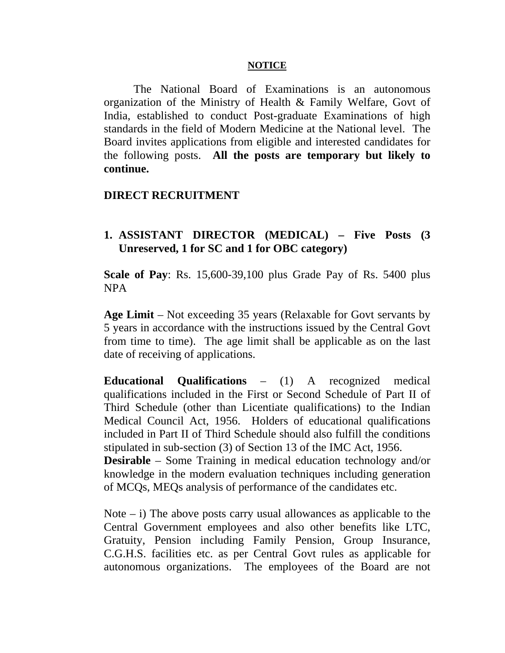## **NOTICE**

The National Board of Examinations is an autonomous organization of the Ministry of Health & Family Welfare, Govt of India, established to conduct Post-graduate Examinations of high standards in the field of Modern Medicine at the National level. The Board invites applications from eligible and interested candidates for the following posts. **All the posts are temporary but likely to continue.**

## **DIRECT RECRUITMENT**

## **1. ASSISTANT DIRECTOR (MEDICAL) – Five Posts (3 Unreserved, 1 for SC and 1 for OBC category)**

**Scale of Pay**: Rs. 15,600-39,100 plus Grade Pay of Rs. 5400 plus NPA

**Age Limit** – Not exceeding 35 years (Relaxable for Govt servants by 5 years in accordance with the instructions issued by the Central Govt from time to time). The age limit shall be applicable as on the last date of receiving of applications.

**Educational Qualifications** – (1) A recognized medical qualifications included in the First or Second Schedule of Part II of Third Schedule (other than Licentiate qualifications) to the Indian Medical Council Act, 1956. Holders of educational qualifications included in Part II of Third Schedule should also fulfill the conditions stipulated in sub-section (3) of Section 13 of the IMC Act, 1956.

**Desirable** – Some Training in medical education technology and/or knowledge in the modern evaluation techniques including generation of MCQs, MEQs analysis of performance of the candidates etc.

Note  $-$  i) The above posts carry usual allowances as applicable to the Central Government employees and also other benefits like LTC, Gratuity, Pension including Family Pension, Group Insurance, C.G.H.S. facilities etc. as per Central Govt rules as applicable for autonomous organizations. The employees of the Board are not